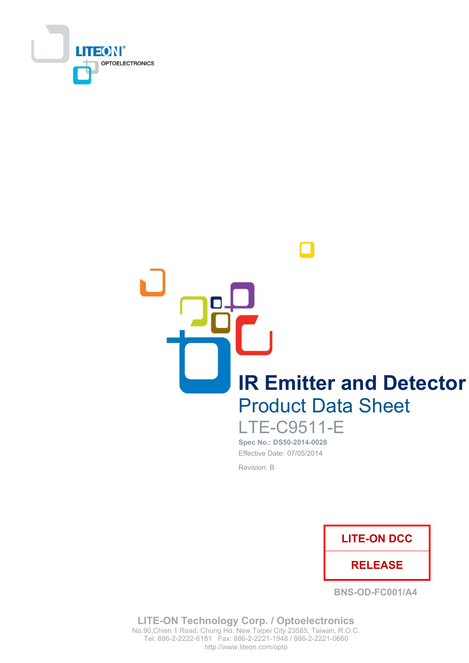

**IR Emitter and Detector Product Data Sheet** 

**LTE-C9511-E** Spec No.: DS50-2014-0028 Effective Date: 07/05/2014 Revision: B



**BNS-OD-FC001/A4** 

**LITE-ON Technology Corp. / Optoelectronics** No.90, Chien 1 Road, Chung Ho, New Taipei City 23585, Taiwan, R.O.C. Tel: 886-2-2222-6181 Fax: 886-2-2221-1948 / 886-2-2221-0660 http://www.liteon.com/opto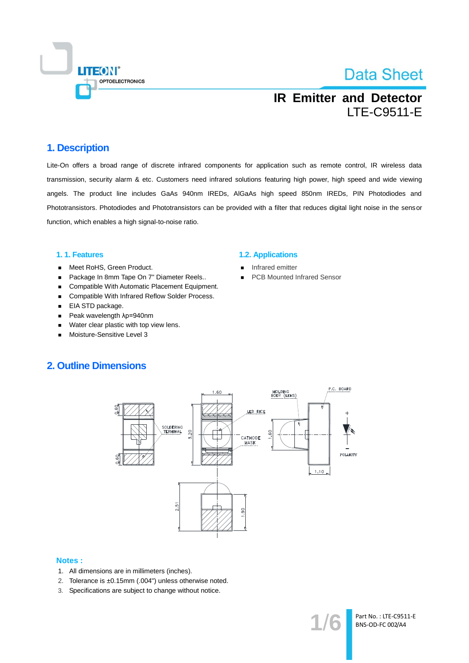

## **IR Emitter and Detector LTE-C9511-E**

### 1. Description

Lite-On offers a broad range of discrete infrared components for application such as remote control, IR wireless data transmission, security alarm & etc. Customers need infrared solutions featuring high power, high speed and wide viewing angels. The product line includes GaAs 940nm IREDs, AIGaAs high speed 850nm IREDs, PIN Photodiodes and Phototransistors. Photodiodes and Phototransistors can be provided with a filter that reduces digital light noise in the sensor function, which enables a high signal-to-noise ratio.

### 1.1. Features

- Meet RoHS, Green Product.  $\blacksquare$
- Package In 8mm Tape On 7" Diameter Reels..  $\blacksquare$
- Compatible With Automatic Placement Equipment.
- Compatible With Infrared Reflow Solder Process.  $\blacksquare$
- EIA STD package.
- Peak wavelength  $\lambda$ p=940nm  $\blacksquare$
- Water clear plastic with top view lens.  $\blacksquare$
- Moisture-Sensitive Level 3

#### **1.2. Applications**

- Infrared emitter
- **PCB Mounted Infrared Sensor**

### **2. Outline Dimensions**



#### **Notes:**

- 1. All dimensions are in millimeters (inches).
- 2. Tolerance is ±0.15mm (.004") unless otherwise noted.
- 3. Specifications are subject to change without notice.

Part No.: LTE-C9511-E BNS-OD-FC 002/A4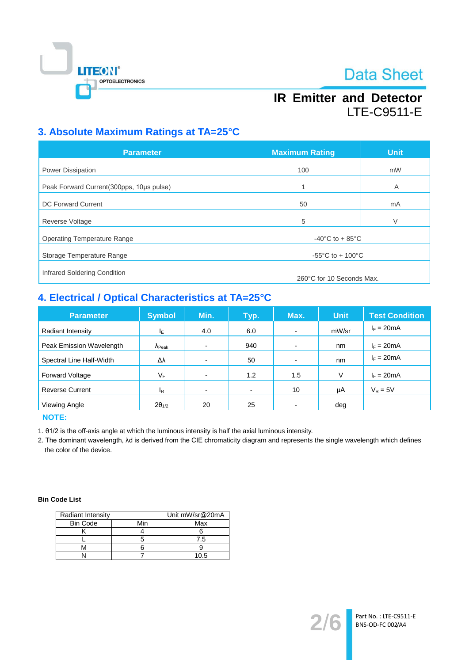

## **IR Emitter and Detector** LTE-C9511-E

## 3. Absolute Maximum Ratings at TA=25°C

| <b>Parameter</b>                         | <b>Maximum Rating</b>                 | <b>Unit</b> |  |
|------------------------------------------|---------------------------------------|-------------|--|
| <b>Power Dissipation</b>                 | 100                                   | mW          |  |
| Peak Forward Current(300pps, 10us pulse) | 1                                     | A           |  |
| <b>DC Forward Current</b>                | 50                                    | mA          |  |
| <b>Reverse Voltage</b>                   | 5                                     | V           |  |
| <b>Operating Temperature Range</b>       | $-40^{\circ}$ C to + 85 $^{\circ}$ C  |             |  |
| Storage Temperature Range                | $-55^{\circ}$ C to + 100 $^{\circ}$ C |             |  |
| Infrared Soldering Condition             | 260°C for 10 Seconds Max.             |             |  |

## 4. Electrical / Optical Characteristics at TA=25°C

| <b>Parameter</b>         | <b>Symbol</b>           | Min.                     | Typ.           | Max.                     | <b>Unit</b> | <b>Test Condition</b> |
|--------------------------|-------------------------|--------------------------|----------------|--------------------------|-------------|-----------------------|
| Radiant Intensity        | IΕ                      | 4.0                      | 6.0            | $\blacksquare$           | mW/sr       | $I_F = 20mA$          |
| Peak Emission Wavelength | $\Lambda_{\text{Peak}}$ |                          | 940            | $\overline{\phantom{0}}$ | nm          | $I_F = 20mA$          |
| Spectral Line Half-Width | Δλ                      |                          | 50             | $\overline{\phantom{0}}$ | nm          | $I_F = 20mA$          |
| <b>Forward Voltage</b>   | VF                      |                          | 1.2            | 1.5                      | V           | $I_F = 20mA$          |
| <b>Reverse Current</b>   | $I_{\mathsf{R}}$        | $\overline{\phantom{a}}$ | $\blacksquare$ | 10                       | μA          | $V_R = 5V$            |
| Viewing Angle            | $2\theta_{1/2}$         | 20                       | 25             |                          | deg         |                       |

**NOTE:** 

1. 01/2 is the off-axis angle at which the luminous intensity is half the axial luminous intensity.

2. The dominant wavelength, Ad is derived from the CIE chromaticity diagram and represents the single wavelength which defines the color of the device.

### **Bin Code List**

| <b>Radiant Intensity</b> | Unit mW/sr@20mA |      |  |
|--------------------------|-----------------|------|--|
| <b>Bin Code</b>          | Min             | Max  |  |
|                          |                 |      |  |
|                          |                 | 7.5  |  |
|                          |                 |      |  |
|                          |                 | 11 h |  |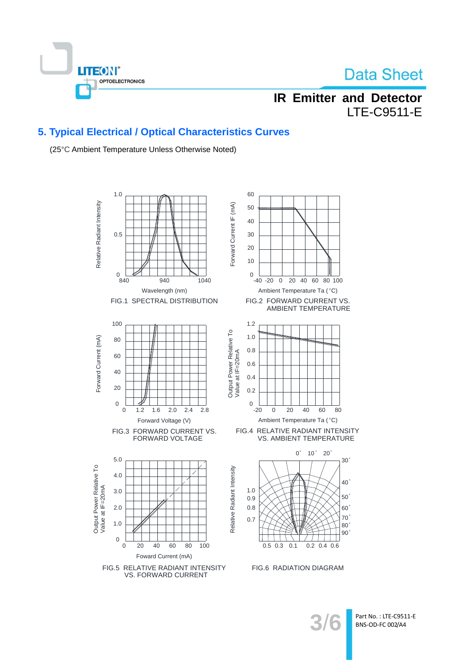

## **IR Emitter and Detector LTE-C9511-E**

### 5. Typical Electrical / Optical Characteristics Curves

(25°C Ambient Temperature Unless Otherwise Noted)



Part No.: LTE-C9511-E BNS-OD-FC 002/A4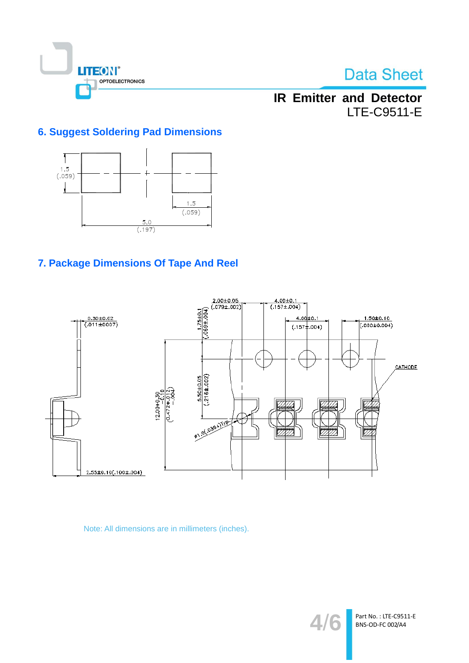

## **IR Emitter and Detector** LTE-C9511-E

## **6. Suggest Soldering Pad Dimensions**



## 7. Package Dimensions Of Tape And Reel



Note: All dimensions are in millimeters (inches).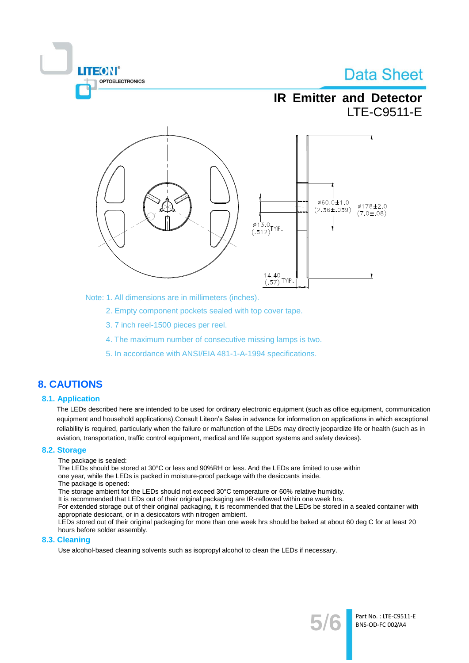

**IR Emitter and Detector LTE-C9511-E** 



Note: 1. All dimensions are in millimeters (inches).

2. Empty component pockets sealed with top cover tape.

- 3.7 inch reel-1500 pieces per reel.
- 4. The maximum number of consecutive missing lamps is two.
- 5. In accordance with ANSI/EIA 481-1-A-1994 specifications.

### **8. CAUTIONS**

### **8.1. Application**

The LEDs described here are intended to be used for ordinary electronic equipment (such as office equipment, communication equipment and household applications). Consult Liteon's Sales in advance for information on applications in which exceptional reliability is required, particularly when the failure or malfunction of the LEDs may directly jeopardize life or health (such as in aviation, transportation, traffic control equipment, medical and life support systems and safety devices).

#### 8.2. Storage

The package is sealed:

The LEDs should be stored at 30°C or less and 90%RH or less. And the LEDs are limited to use within one year, while the LEDs is packed in moisture-proof package with the desiccants inside.

The package is opened:

The storage ambient for the LEDs should not exceed 30°C temperature or 60% relative humidity.

It is recommended that LEDs out of their original packaging are IR-reflowed within one week hrs.

For extended storage out of their original packaging, it is recommended that the LEDs be stored in a sealed container with appropriate desiccant, or in a desiccators with nitrogen ambient.

LEDs stored out of their original packaging for more than one week hrs should be baked at about 60 deg C for at least 20 hours before solder assembly.

#### 8.3. Cleaning

Use alcohol-based cleaning solvents such as isopropyl alcohol to clean the LEDs if necessary.